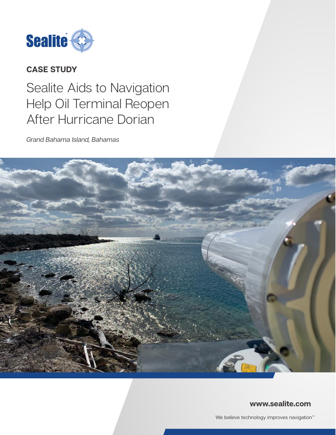

# **CASE STUDY**

# Sealite Aids to Navigation Help Oil Terminal Reopen After Hurricane Dorian

*Grand Bahama Island, Bahamas*



### **www.sealite.com**

We believe technology improves navigation<sup>™</sup>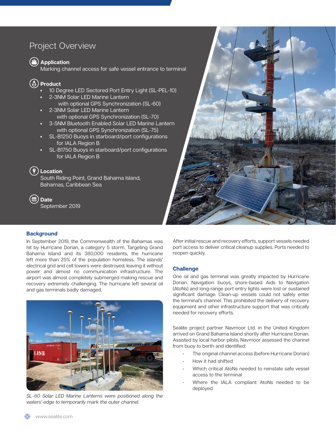# Project Overview

**Application** 

Marking channel access for safe vessel entrance to terminal

## **Product**

- <sup>1</sup> 10 Degree LED Sectored Port Entry Light (SL-PEL-10)
- 2-3NM Solar LED Marine Lantern with optional GPS Synchronization (SL-60)
- 2-3NM Solar LED Marine Lantern with optional GPS Synchronization (SL-70)
- 3-5NM Bluetooth Enabled Solar LED Marine Lantern with optional GPS Synchronization (SL-75)
- SL-B1250 Buoys in starboard/port configurations for IALA Region B
- SL-B1750 Buoys in starboard/port configurations for IALA Region B

## **Location**

South Riding Point, Grand Bahama Island, Bahamas, Caribbean Sea

**Date** September 2019



#### **Background**

In September 2019, the Commonwealth of the Bahamas was hit by Hurricane Dorian, a category 5 storm. Targeting Grand Bahama Island and its 380,000 residents, the hurricane left more than 25% of the population homeless. The islands' electrical grid and cell towers were destroyed, leaving it without power and almost no communication infrastructure. The airport was almost completely submerged making rescue and recovery extremely challenging. The hurricane left several oil and gas terminals badly damaged.



*SL-60 Solar LED Marine Lanterns were positioned along the waters' edge to temporarily mark the outer channel.* 

After initial rescue and recovery efforts, support vessels needed port access to deliver critical cleanup supplies. Ports needed to reopen quickly.

#### **Challenge**

One oil and gas terminal was greatly impacted by Hurricane Dorian. Navigation buoys, shore-based Aids to Navigation (AtoNs) and long-range port entry lights were lost or sustained significant damage. Clean-up vessels could not safely enter the terminal's channel. This prohibited the delivery of recovery equipment and other infrastructure support that was critically needed for recovery efforts.

Sealite project partner Navmoor Ltd. in the United Kingdom arrived on Grand Bahama Island shortly after Hurricane Dorian. Assisted by local harbor pilots, Navmoor assessed the channel from buoy to berth and identified:

- The original channel access (before Hurricane Dorian)
- How it had shifted
- Which critical AtoNs needed to reinstate safe vessel access to the terminal
- Where the IALA compliant AtoNs needed to be deployed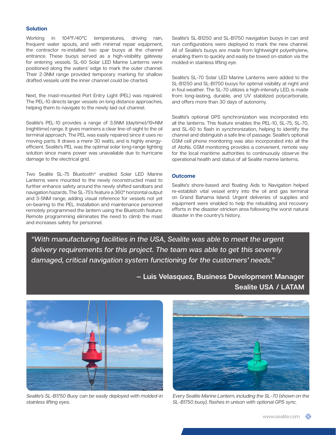#### **Solution**

Working in 104°F/40°C temperatures, driving rain, frequent water spouts, and with minimal repair equipment, the contractor re-installed two spar buoys at the channel entrance. These buoys served as a high-visibility gateway for entering vessels. SL-60 Solar LED Marine Lanterns were positioned along the waters' edge to mark the outer channel. Their 2-3NM range provided temporary marking for shallow drafted vessels until the inner channel could be charted.

Next, the mast-mounted Port Entry Light (PEL) was repaired. The PEL-10 directs larger vessels on long distance approaches, helping them to navigate to the newly laid out channel.

Sealite's PEL-10 provides a range of 3.5NM (daytime)/19+NM (nighttime) range. It gives mariners a clear line-of-sight to the oil terminal approach. The PEL was easily repaired since it uses no moving parts. It draws a mere 30 watts, and is highly energyefficient. Sealite's PEL was the optimal solar long-range lighting solution since mains power was unavailable due to hurricane damage to the electrical grid.

Two Sealite SL-75 Bluetooth® enabled Solar LED Marine Lanterns were mounted to the newly reconstructed mast to further enhance safety around the newly shifted sandbars and navigation hazards. The SL-75's feature a 360° horizontal output and 3-5NM range, adding visual reference for vessels not yet on-bearing to the PEL. Installation and maintenance personnel remotely programmed the lantern using the Bluetooth feature. Remote programming eliminates the need to climb the mast and increases safety for personnel.

Sealite's SL-B1250 and SL-B1750 navigation buoys in can and nun configurations were deployed to mark the new channel. All of Sealite's buoys are made from lightweight polyethylene, enabling them to quickly and easily be towed on-station via the molded-in stainless lifting eye.

Sealite's SL-70 Solar LED Marine Lanterns were added to the SL-B1250 and SL-B1750 buoys for optimal visibility at night and in foul weather. The SL-70 utilizes a high-intensity LED, is made from long-lasting, durable, and UV stabilized polycarbonate, and offers more than 30 days of autonomy.

Sealite's optional GPS synchronization was incorporated into all the lanterns. This feature enables the PEL-10, SL-75, SL-70, and SL-60 to flash in synchronization, helping to identify the channel and distinguish a safe line of passage. Sealite's optional GSM cell phone monitoring was also incorporated into all the of AtoNs. GSM monitoring provides a convenient, remote way for the local maritime authorities to continuously observe the operational health and status of all Sealite marine lanterns.

#### **Outcome**

Sealite's shore-based and floating Aids to Navigation helped re-establish vital vessel entry into the oil and gas terminal on Grand Bahama Island. Urgent deliveries of supplies and equipment were enabled to help the rebuilding and recovery efforts in the disaster-stricken area following the worst natural disaster in the country's history.

*"With manufacturing facilities in the USA, Sealite was able to meet the urgent delivery requirements for this project. The team was able to get this severely damaged, critical navigation system functioning for the customers' needs."*

> **— Luis Velasquez, Business Development Manager Sealite USA / LATAM**



*Sealite's SL-B1750 Buoy can be easily deployed with molded-in stainless lifting eyes.* 



*Every Sealite Marine Lantern, including the SL-70 (shown on the SL-B1750 buoy), flashes in unison with optional GPS sync.*